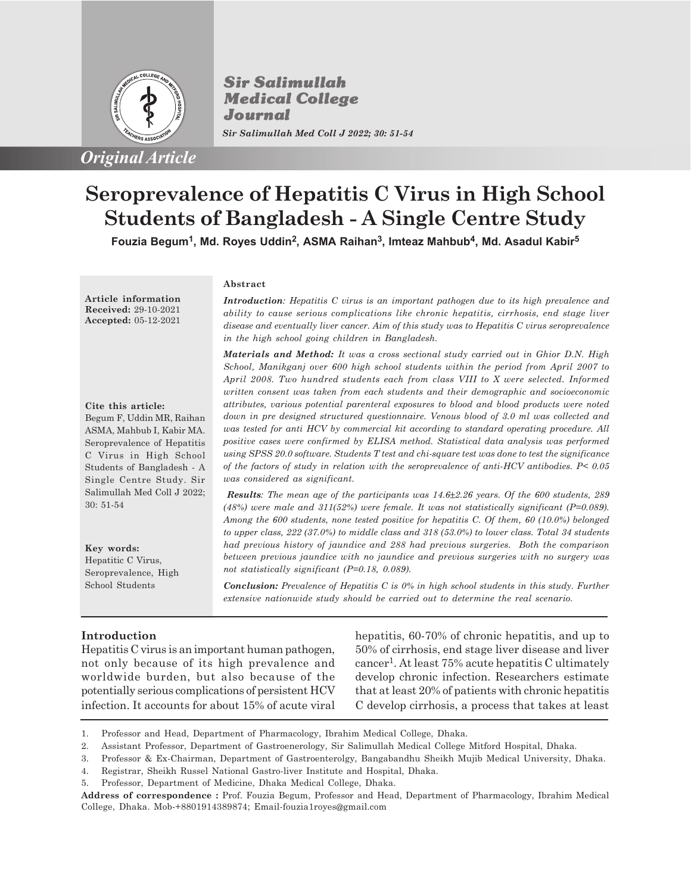

**Sir Salimullah Medical College** Journal *Sir Salimullah Med Coll J 2022; 30: 51-54*

# **Seroprevalence of Hepatitis C Virus in High School Students of Bangladesh - A Single Centre Study**

**Fouzia Begum<sup>1</sup> , Md. Royes Uddin<sup>2</sup> , ASMA Raihan<sup>3</sup> , Imteaz Mahbub<sup>4</sup> , Md. Asadul Kabir<sup>5</sup>**

**Article information Received:** 29-10-2021 **Accepted:** 05-12-2021

#### **Cite this article:**

Begum F, Uddin MR, Raihan ASMA, Mahbub I, Kabir MA. Seroprevalence of Hepatitis C Virus in High School Students of Bangladesh - A Single Centre Study. Sir Salimullah Med Coll J 2022; 30: 51-54

**Key words:** Hepatitic C Virus, Seroprevalence, High School Students

#### **Abstract**

*Introduction: Hepatitis C virus is an important pathogen due to its high prevalence and ability to cause serious complications like chronic hepatitis, cirrhosis, end stage liver disease and eventually liver cancer. Aim of this study was to Hepatitis C virus seroprevalence in the high school going children in Bangladesh.*

*Materials and Method: It was a cross sectional study carried out in Ghior D.N. High School, Manikganj over 600 high school students within the period from April 2007 to April 2008. Two hundred students each from class VIII to X were selected. Informed written consent was taken from each students and their demographic and socioeconomic attributes, various potential parenteral exposures to blood and blood products were noted down in pre designed structured questionnaire. Venous blood of 3.0 ml was collected and was tested for anti HCV by commercial kit according to standard operating procedure. All positive cases were confirmed by ELISA method. Statistical data analysis was performed using SPSS 20.0 software. Students T test and chi-square test was done to test the significance of the factors of study in relation with the seroprevalence of anti-HCV antibodies. P< 0.05 was considered as significant.*

*Results: The mean age of the participants was 14.6±2.26 years. Of the 600 students, 289 (48%) were male and 311(52%) were female. It was not statistically significant (P=0.089). Among the 600 students, none tested positive for hepatitis C. Of them, 60 (10.0%) belonged to upper class, 222 (37.0%) to middle class and 318 (53.0%) to lower class. Total 34 students had previous history of jaundice and 288 had previous surgeries. Both the comparison between previous jaundice with no jaundice and previous surgeries with no surgery was not statistically significant (P=0.18, 0.089).*

*Conclusion: Prevalence of Hepatitis C is 0% in high school students in this study. Further extensive nationwide study should be carried out to determine the real scenario.*

## **Introduction**

Hepatitis C virus is an important human pathogen, not only because of its high prevalence and worldwide burden, but also because of the potentially serious complications of persistent HCV infection. It accounts for about 15% of acute viral hepatitis, 60-70% of chronic hepatitis, and up to 50% of cirrhosis, end stage liver disease and liver cancer<sup>1</sup> . At least 75% acute hepatitis C ultimately develop chronic infection. Researchers estimate that at least 20% of patients with chronic hepatitis C develop cirrhosis, a process that takes at least

<sup>1.</sup> Professor and Head, Department of Pharmacology, Ibrahim Medical College, Dhaka.

<sup>2.</sup> Assistant Professor, Department of Gastroenerology, Sir Salimullah Medical College Mitford Hospital, Dhaka.

<sup>3.</sup> Professor & Ex-Chairman, Department of Gastroenterolgy, Bangabandhu Sheikh Mujib Medical University, Dhaka.

<sup>4.</sup> Registrar, Sheikh Russel National Gastro-liver Institute and Hospital, Dhaka.

<sup>5.</sup> Professor, Department of Medicine, Dhaka Medical College, Dhaka.

**Address of correspondence :** Prof. Fouzia Begum, Professor and Head, Department of Pharmacology, Ibrahim Medical College, Dhaka. Mob-+8801914389874; Email-fouzia1royes@gmail.com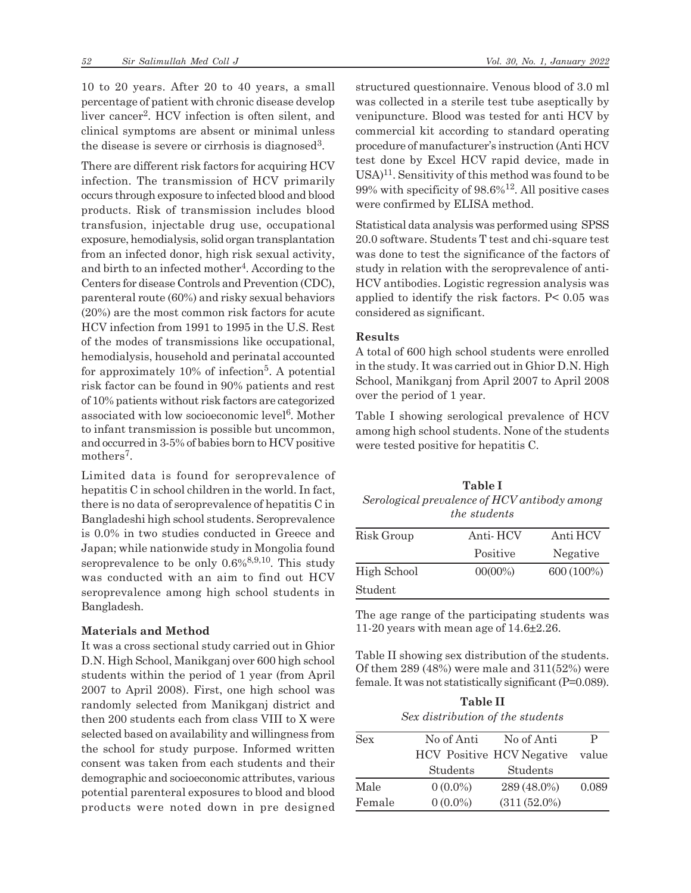10 to 20 years. After 20 to 40 years, a small percentage of patient with chronic disease develop liver cancer<sup>2</sup> . HCV infection is often silent, and clinical symptoms are absent or minimal unless the disease is severe or cirrhosis is diagnosed<sup>3</sup>.

There are different risk factors for acquiring HCV infection. The transmission of HCV primarily occurs through exposure to infected blood and blood products. Risk of transmission includes blood transfusion, injectable drug use, occupational exposure, hemodialysis, solid organ transplantation from an infected donor, high risk sexual activity, and birth to an infected mother<sup>4</sup>. According to the Centers for disease Controls and Prevention (CDC), parenteral route (60%) and risky sexual behaviors (20%) are the most common risk factors for acute HCV infection from 1991 to 1995 in the U.S. Rest of the modes of transmissions like occupational, hemodialysis, household and perinatal accounted for approximately 10% of infection<sup>5</sup>. A potential risk factor can be found in 90% patients and rest of 10% patients without risk factors are categorized associated with low socioeconomic level<sup>6</sup>. Mother to infant transmission is possible but uncommon, and occurred in 3-5% of babies born to HCV positive mothers<sup>7</sup>.

Limited data is found for seroprevalence of hepatitis C in school children in the world. In fact, there is no data of seroprevalence of hepatitis C in Bangladeshi high school students. Seroprevalence is 0.0% in two studies conducted in Greece and Japan; while nationwide study in Mongolia found seroprevalence to be only  $0.6\%^{8,9,10}$ . This study was conducted with an aim to find out HCV seroprevalence among high school students in Bangladesh.

# **Materials and Method**

It was a cross sectional study carried out in Ghior D.N. High School, Manikganj over 600 high school students within the period of 1 year (from April 2007 to April 2008). First, one high school was randomly selected from Manikganj district and then 200 students each from class VIII to X were selected based on availability and willingness from the school for study purpose. Informed written consent was taken from each students and their demographic and socioeconomic attributes, various potential parenteral exposures to blood and blood products were noted down in pre designed structured questionnaire. Venous blood of 3.0 ml was collected in a sterile test tube aseptically by venipuncture. Blood was tested for anti HCV by commercial kit according to standard operating procedure of manufacturer's instruction (Anti HCV test done by Excel HCV rapid device, made in  $USA)^{11}$ . Sensitivity of this method was found to be  $99\%$  with specificity of  $98.6\%$ <sup>12</sup>. All positive cases were confirmed by ELISA method.

Statistical data analysis was performed using SPSS 20.0 software. Students T test and chi-square test was done to test the significance of the factors of study in relation with the seroprevalence of anti-HCV antibodies. Logistic regression analysis was applied to identify the risk factors. P< 0.05 was considered as significant.

#### **Results**

A total of 600 high school students were enrolled in the study. It was carried out in Ghior D.N. High School, Manikganj from April 2007 to April 2008 over the period of 1 year.

Table I showing serological prevalence of HCV among high school students. None of the students were tested positive for hepatitis C.

| Table I                                      |
|----------------------------------------------|
| Serological prevalence of HCV antibody among |
| <i>the students</i>                          |

| Risk Group  | Anti-HCV   | Anti HCV   |
|-------------|------------|------------|
|             | Positive   | Negative   |
| High School | $00(00\%)$ | 600 (100%) |
| Student     |            |            |

The age range of the participating students was 11-20 years with mean age of 14.6±2.26.

Table II showing sex distribution of the students. Of them  $289(48%)$  were male and  $311(52%)$  were female. It was not statistically significant (P=0.089).

**Table II** *Sex distribution of the students*

| Sex    | No of Anti | No of Anti                       | P     |
|--------|------------|----------------------------------|-------|
|        |            | <b>HCV</b> Positive HCV Negative | value |
|        | Students   | Students                         |       |
| Male   | $0(0.0\%)$ | 289 (48.0%)                      | 0.089 |
| Female | $0(0.0\%)$ | $(311(52.0\%)$                   |       |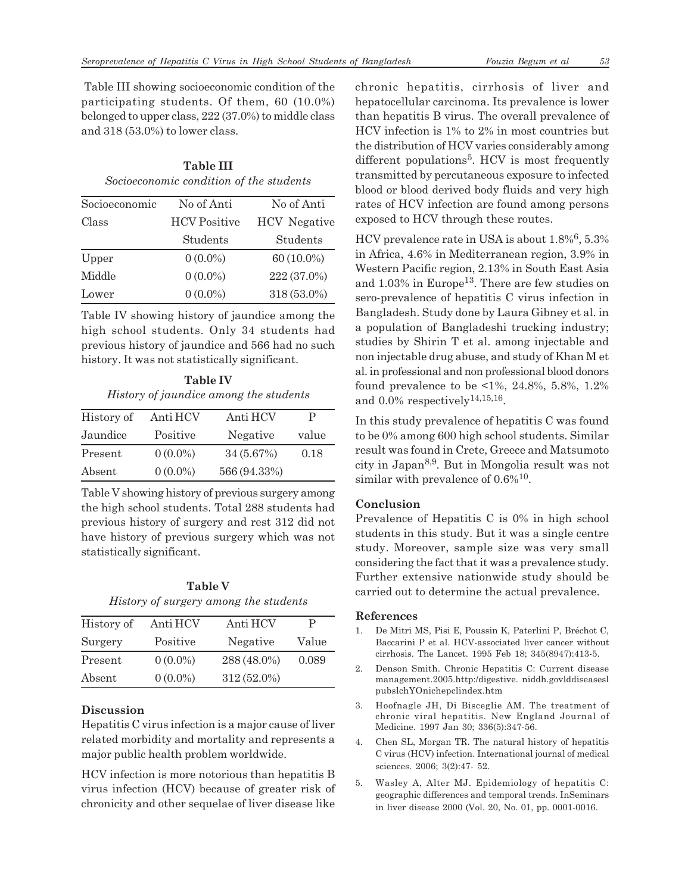Table III showing socioeconomic condition of the participating students. Of them, 60 (10.0%) belonged to upper class, 222 (37.0%) to middle class and 318 (53.0%) to lower class.

**Table III** *Socioeconomic condition of the students*

| Socioeconomic | No of Anti          | No of Anti          |
|---------------|---------------------|---------------------|
| Class         | <b>HCV</b> Positive | <b>HCV</b> Negative |
|               | Students            | Students            |
| Upper         | $0(0.0\%)$          | 60 (10.0%)          |
| Middle        | $0(0.0\%)$          | 222 (37.0%)         |
| Lower         | $0(0.0\%)$          | 318 (53.0%)         |

Table IV showing history of jaundice among the high school students. Only 34 students had previous history of jaundice and 566 had no such history. It was not statistically significant.

**Table IV** *History of jaundice among the students*

| History of | Anti HCV   | Anti HCV     | P     |
|------------|------------|--------------|-------|
| Jaundice   | Positive   | Negative     | value |
| Present    | $0(0.0\%)$ | 34(5.67%)    | 0.18  |
| Absent     | $0(0.0\%)$ | 566 (94.33%) |       |

Table V showing history of previous surgery among the high school students. Total 288 students had previous history of surgery and rest 312 did not have history of previous surgery which was not statistically significant.

**Table V** *History of surgery among the students*

| History of | Anti HCV   | Anti HCV      | Р     |
|------------|------------|---------------|-------|
| Surgery    | Positive   | Negative      | Value |
| Present    | $0(0.0\%)$ | 288 (48.0%)   | 0.089 |
| Absent     | $0(0.0\%)$ | $312(52.0\%)$ |       |

## **Discussion**

Hepatitis C virus infection is a major cause of liver related morbidity and mortality and represents a major public health problem worldwide.

HCV infection is more notorious than hepatitis B virus infection (HCV) because of greater risk of chronicity and other sequelae of liver disease like chronic hepatitis, cirrhosis of liver and hepatocellular carcinoma. Its prevalence is lower than hepatitis B virus. The overall prevalence of HCV infection is 1% to 2% in most countries but the distribution of HCV varies considerably among different populations<sup>5</sup>. HCV is most frequently transmitted by percutaneous exposure to infected blood or blood derived body fluids and very high rates of HCV infection are found among persons exposed to HCV through these routes.

HCV prevalence rate in USA is about 1.8%<sup>6</sup>, 5.3% in Africa, 4.6% in Mediterranean region, 3.9% in Western Pacific region, 2.13% in South East Asia and  $1.03\%$  in Europe<sup>13</sup>. There are few studies on sero-prevalence of hepatitis C virus infection in Bangladesh. Study done by Laura Gibney et al. in a population of Bangladeshi trucking industry; studies by Shirin T et al. among injectable and non injectable drug abuse, and study of Khan M et al. in professional and non professional blood donors found prevalence to be <1%, 24.8%, 5.8%, 1.2% and  $0.0\%$  respectively<sup>14,15,16</sup>.

In this study prevalence of hepatitis C was found to be 0% among 600 high school students. Similar result was found in Crete, Greece and Matsumoto city in Japan8,9. But in Mongolia result was not similar with prevalence of  $0.6\%$ <sup>10</sup>.

## **Conclusion**

Prevalence of Hepatitis C is 0% in high school students in this study. But it was a single centre study. Moreover, sample size was very small considering the fact that it was a prevalence study. Further extensive nationwide study should be carried out to determine the actual prevalence.

#### **References**

- 1. De Mitri MS, Pisi E, Poussin K, Paterlini P, Bréchot C, Baccarini P et al. HCV-associated liver cancer without cirrhosis. The Lancet. 1995 Feb 18; 345(8947):413-5.
- 2. Denson Smith. Chronic Hepatitis C: Current disease management.2005.http:/digestive. niddh.govlddiseasesl pubslchYOnichepclindex.htm
- 3. Hoofnagle JH, Di Bisceglie AM. The treatment of chronic viral hepatitis. New England Journal of Medicine. 1997 Jan 30; 336(5):347-56.
- 4. Chen SL, Morgan TR. The natural history of hepatitis C virus (HCV) infection. International journal of medical sciences. 2006; 3(2):47- 52.
- 5. Wasley A, Alter MJ. Epidemiology of hepatitis C: geographic differences and temporal trends. InSeminars in liver disease 2000 (Vol. 20, No. 01, pp. 0001-0016.